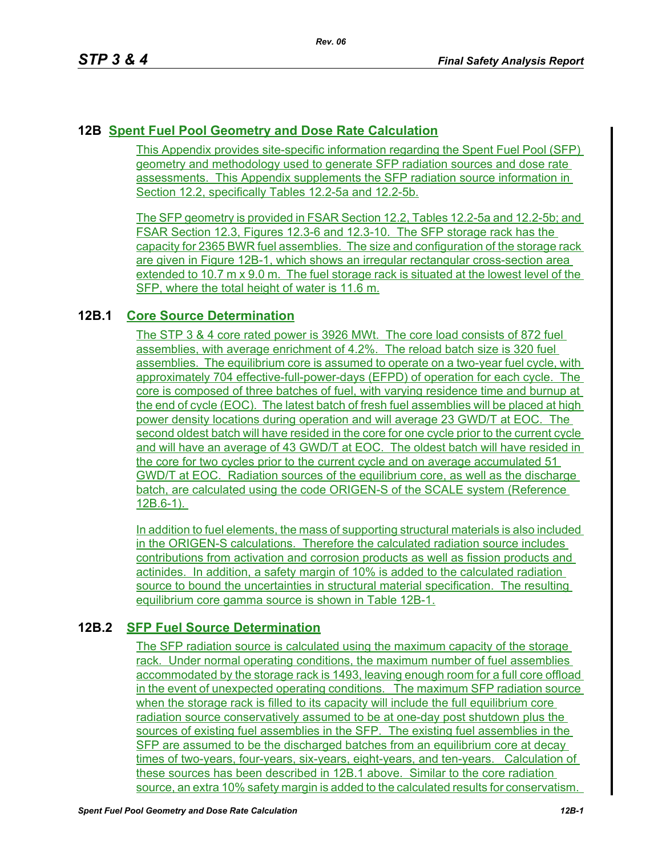# **12B Spent Fuel Pool Geometry and Dose Rate Calculation**

This Appendix provides site-specific information regarding the Spent Fuel Pool (SFP) geometry and methodology used to generate SFP radiation sources and dose rate assessments. This Appendix supplements the SFP radiation source information in Section 12.2, specifically Tables 12.2-5a and 12.2-5b.

The SFP geometry is provided in FSAR Section 12.2, Tables 12.2-5a and 12.2-5b; and FSAR Section 12.3, Figures 12.3-6 and 12.3-10. The SFP storage rack has the capacity for 2365 BWR fuel assemblies. The size and configuration of the storage rack are given in Figure 12B-1, which shows an irregular rectangular cross-section area extended to 10.7 m x 9.0 m. The fuel storage rack is situated at the lowest level of the SFP, where the total height of water is 11.6 m.

# **12B.1 Core Source Determination**

The STP 3 & 4 core rated power is 3926 MWt. The core load consists of 872 fuel assemblies, with average enrichment of 4.2%. The reload batch size is 320 fuel assemblies. The equilibrium core is assumed to operate on a two-year fuel cycle, with approximately 704 effective-full-power-days (EFPD) of operation for each cycle. The core is composed of three batches of fuel, with varying residence time and burnup at the end of cycle (EOC). The latest batch of fresh fuel assemblies will be placed at high power density locations during operation and will average 23 GWD/T at EOC. The second oldest batch will have resided in the core for one cycle prior to the current cycle and will have an average of 43 GWD/T at EOC. The oldest batch will have resided in the core for two cycles prior to the current cycle and on average accumulated 51 GWD/T at EOC. Radiation sources of the equilibrium core, as well as the discharge batch, are calculated using the code ORIGEN-S of the SCALE system (Reference 12B.6-1).

In addition to fuel elements, the mass of supporting structural materials is also included in the ORIGEN-S calculations. Therefore the calculated radiation source includes contributions from activation and corrosion products as well as fission products and actinides. In addition, a safety margin of 10% is added to the calculated radiation source to bound the uncertainties in structural material specification. The resulting equilibrium core gamma source is shown in Table 12B-1.

## **12B.2 SFP Fuel Source Determination**

The SFP radiation source is calculated using the maximum capacity of the storage rack. Under normal operating conditions, the maximum number of fuel assemblies accommodated by the storage rack is 1493, leaving enough room for a full core offload in the event of unexpected operating conditions. The maximum SFP radiation source when the storage rack is filled to its capacity will include the full equilibrium core radiation source conservatively assumed to be at one-day post shutdown plus the sources of existing fuel assemblies in the SFP. The existing fuel assemblies in the SFP are assumed to be the discharged batches from an equilibrium core at decay times of two-years, four-years, six-years, eight-years, and ten-years. Calculation of these sources has been described in 12B.1 above. Similar to the core radiation source, an extra 10% safety margin is added to the calculated results for conservatism.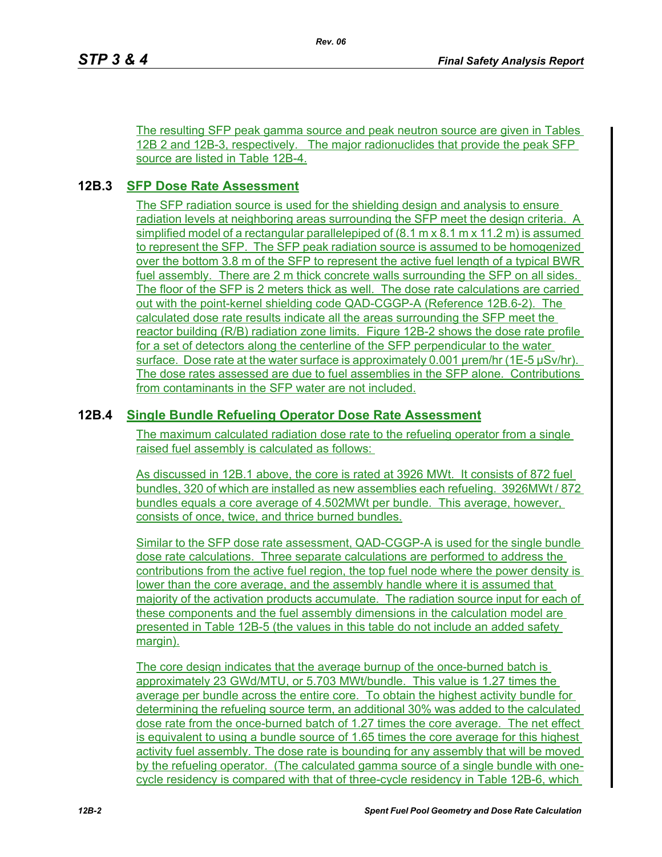The resulting SFP peak gamma source and peak neutron source are given in Tables 12B 2 and 12B-3, respectively. The major radionuclides that provide the peak SFP source are listed in Table 12B-4.

### **12B.3 SFP Dose Rate Assessment**

The SFP radiation source is used for the shielding design and analysis to ensure radiation levels at neighboring areas surrounding the SFP meet the design criteria. A simplified model of a rectangular parallelepiped of  $(8.1 \text{ m} \times 8.1 \text{ m} \times 11.2 \text{ m})$  is assumed to represent the SFP. The SFP peak radiation source is assumed to be homogenized over the bottom 3.8 m of the SFP to represent the active fuel length of a typical BWR fuel assembly. There are 2 m thick concrete walls surrounding the SFP on all sides. The floor of the SFP is 2 meters thick as well. The dose rate calculations are carried out with the point-kernel shielding code QAD-CGGP-A (Reference 12B.6-2). The calculated dose rate results indicate all the areas surrounding the SFP meet the reactor building (R/B) radiation zone limits. Figure 12B-2 shows the dose rate profile for a set of detectors along the centerline of the SFP perpendicular to the water surface. Dose rate at the water surface is approximately 0.001 µrem/hr (1E-5 µSv/hr). The dose rates assessed are due to fuel assemblies in the SFP alone. Contributions from contaminants in the SFP water are not included.

### **12B.4 Single Bundle Refueling Operator Dose Rate Assessment**

The maximum calculated radiation dose rate to the refueling operator from a single raised fuel assembly is calculated as follows:

As discussed in 12B.1 above, the core is rated at 3926 MWt. It consists of 872 fuel bundles, 320 of which are installed as new assemblies each refueling. 3926MWt / 872 bundles equals a core average of 4.502MWt per bundle. This average, however, consists of once, twice, and thrice burned bundles.

Similar to the SFP dose rate assessment, QAD-CGGP-A is used for the single bundle dose rate calculations. Three separate calculations are performed to address the contributions from the active fuel region, the top fuel node where the power density is lower than the core average, and the assembly handle where it is assumed that majority of the activation products accumulate. The radiation source input for each of these components and the fuel assembly dimensions in the calculation model are presented in Table 12B-5 (the values in this table do not include an added safety margin).

The core design indicates that the average burnup of the once-burned batch is approximately 23 GWd/MTU, or 5.703 MWt/bundle. This value is 1.27 times the average per bundle across the entire core. To obtain the highest activity bundle for determining the refueling source term, an additional 30% was added to the calculated dose rate from the once-burned batch of 1.27 times the core average. The net effect is equivalent to using a bundle source of 1.65 times the core average for this highest activity fuel assembly. The dose rate is bounding for any assembly that will be moved by the refueling operator. (The calculated gamma source of a single bundle with onecycle residency is compared with that of three-cycle residency in Table 12B-6, which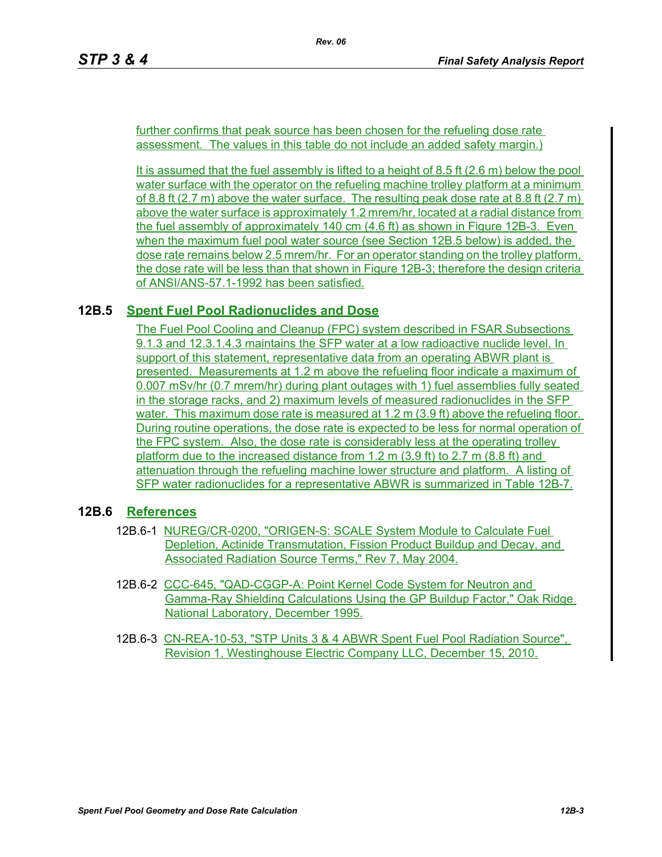further confirms that peak source has been chosen for the refueling dose rate assessment. The values in this table do not include an added safety margin.)

It is assumed that the fuel assembly is lifted to a height of 8.5 ft (2.6 m) below the pool water surface with the operator on the refueling machine trolley platform at a minimum of 8.8 ft (2.7 m) above the water surface. The resulting peak dose rate at 8.8 ft (2.7 m) above the water surface is approximately 1.2 mrem/hr, located at a radial distance from the fuel assembly of approximately 140 cm (4.6 ft) as shown in Figure 12B-3. Even when the maximum fuel pool water source (see Section 12B.5 below) is added, the dose rate remains below 2.5 mrem/hr. For an operator standing on the trolley platform, the dose rate will be less than that shown in Figure 12B-3; therefore the design criteria of ANSI/ANS-57.1-1992 has been satisfied.

#### **12B.5 Spent Fuel Pool Radionuclides and Dose**

The Fuel Pool Cooling and Cleanup (FPC) system described in FSAR Subsections 9.1.3 and 12.3.1.4.3 maintains the SFP water at a low radioactive nuclide level. In support of this statement, representative data from an operating ABWR plant is presented. Measurements at 1.2 m above the refueling floor indicate a maximum of 0.007 mSv/hr (0.7 mrem/hr) during plant outages with 1) fuel assemblies fully seated in the storage racks, and 2) maximum levels of measured radionuclides in the SFP water. This maximum dose rate is measured at 1.2 m (3.9 ft) above the refueling floor. During routine operations, the dose rate is expected to be less for normal operation of the FPC system. Also, the dose rate is considerably less at the operating trolley platform due to the increased distance from 1.2 m  $(3.9 \text{ ft})$  to 2.7 m  $(8.8 \text{ ft})$  and attenuation through the refueling machine lower structure and platform. A listing of SFP water radionuclides for a representative ABWR is summarized in Table 12B-7.

#### **12B.6 References**

- 12B.6-1 NUREG/CR-0200, "ORIGEN-S: SCALE System Module to Calculate Fuel Depletion, Actinide Transmutation, Fission Product Buildup and Decay, and Associated Radiation Source Terms," Rev 7, May 2004.
- 12B.6-2 CCC-645, "QAD-CGGP-A: Point Kernel Code System for Neutron and Gamma-Ray Shielding Calculations Using the GP Buildup Factor," Oak Ridge National Laboratory, December 1995.
- 12B.6-3 CN-REA-10-53, "STP Units 3 & 4 ABWR Spent Fuel Pool Radiation Source", Revision 1, Westinghouse Electric Company LLC, December 15, 2010.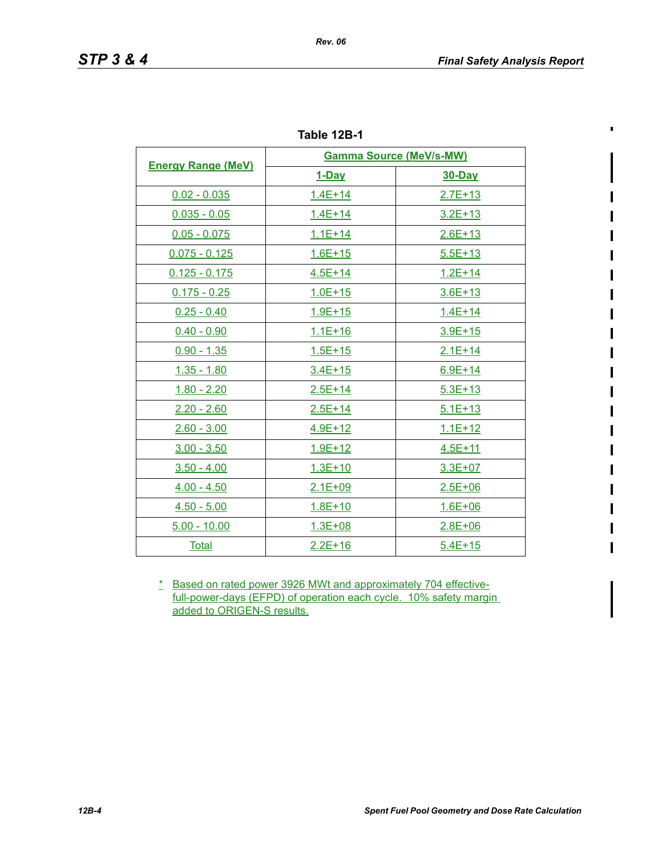$\blacksquare$ 

| Table 12B-1 |
|-------------|
|             |

| <b>Energy Range (MeV)</b> | <b>Gamma Source (MeV/s-MW)</b> |               |  |
|---------------------------|--------------------------------|---------------|--|
|                           | <u>1-Day</u>                   | <b>30-Day</b> |  |
| $0.02 - 0.035$            | $1.4E + 14$                    | $2.7E + 13$   |  |
| $0.035 - 0.05$            | $1.4E + 14$                    | $3.2E + 13$   |  |
| $0.05 - 0.075$            | $1.1E + 14$                    | $2.6E+13$     |  |
| $0.075 - 0.125$           | $1.6E + 15$                    | $5.5E + 13$   |  |
| $0.125 - 0.175$           | $4.5E + 14$                    | $1.2E + 14$   |  |
| $0.175 - 0.25$            | $1.0E + 15$                    | $3.6E + 13$   |  |
| $0.25 - 0.40$             | $1.9E + 15$                    | $1.4E + 14$   |  |
| $0.40 - 0.90$             | $1.1E + 16$                    | $3.9E + 15$   |  |
| $0.90 - 1.35$             | $1.5E + 15$                    | $2.1E+14$     |  |
| $1.35 - 1.80$             | $3.4E + 15$                    | $6.9E + 14$   |  |
| $1.80 - 2.20$             | $2.5E+14$                      | $5.3E + 13$   |  |
| $2.20 - 2.60$             | $2.5E + 14$                    | $5.1E + 13$   |  |
| $2.60 - 3.00$             | 4.9E+12                        | $1.1E + 12$   |  |
| $3.00 - 3.50$             | 1.9E+12                        | $4.5E + 11$   |  |
| $3.50 - 4.00$             | 1.3E+10                        | 3.3E+07       |  |
| $4.00 - 4.50$             | $2.1E + 09$                    | $2.5E + 06$   |  |
| $4.50 - 5.00$             | $1.8E + 10$                    | $1.6E + 06$   |  |
| $5.00 - 10.00$            | $1.3E + 08$                    | $2.8E + 06$   |  |
| <u>Total</u>              | $2.2E+16$                      | $5.4E+15$     |  |

\* Based on rated power 3926 MWt and approximately 704 effectivefull-power-days (EFPD) of operation each cycle. 10% safety margin added to ORIGEN-S results.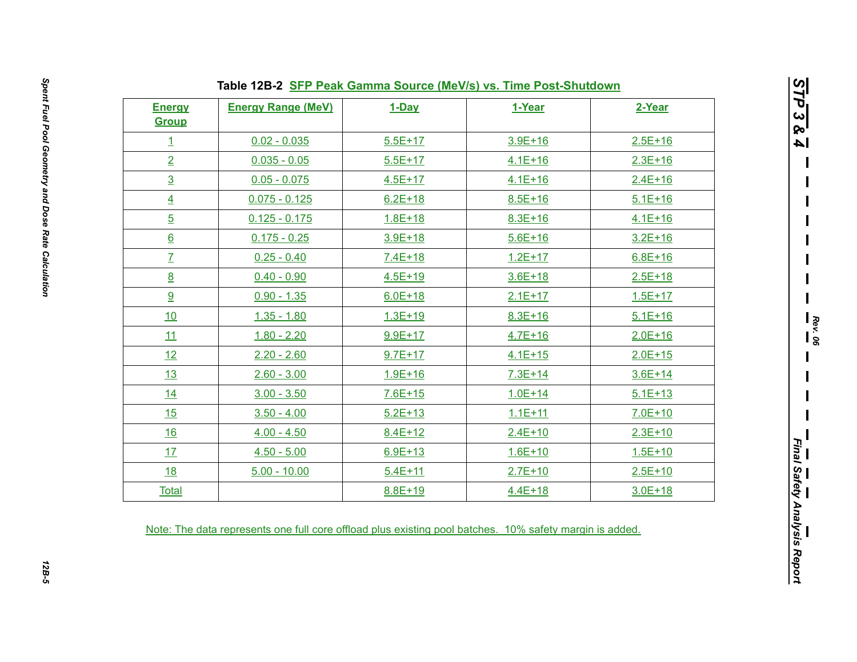| <b>Energy</b><br><b>Group</b> | <b>Energy Range (MeV)</b> | 1-Day       | 1-Year      | 2-Year      |
|-------------------------------|---------------------------|-------------|-------------|-------------|
| $\overline{1}$                | $0.02 - 0.035$            | $5.5E+17$   | $3.9E + 16$ | $2.5E + 16$ |
| $\overline{2}$                | $0.035 - 0.05$            | $5.5E+17$   | $4.1E + 16$ | $2.3E+16$   |
| $\overline{3}$                | $0.05 - 0.075$            | $4.5E+17$   | $4.1E + 16$ | $2.4E + 16$ |
| $\overline{4}$                | $0.075 - 0.125$           | $6.2E + 18$ | $8.5E + 16$ | $5.1E+16$   |
| $\overline{5}$                | $0.125 - 0.175$           | $1.8E + 18$ | $8.3E + 16$ | $4.1E + 16$ |
| $6 \overline{6}$              | $0.175 - 0.25$            | $3.9E + 18$ | $5.6E + 16$ | $3.2E + 16$ |
| $\overline{I}$                | $0.25 - 0.40$             | $7.4E+18$   | $1.2E + 17$ | $6.8E + 16$ |
| 8                             | $0.40 - 0.90$             | $4.5E + 19$ | $3.6E + 18$ | $2.5E+18$   |
| 9                             | $0.90 - 1.35$             | $6.0E + 18$ | $2.1E+17$   | $1.5E+17$   |
| 10                            | $1.35 - 1.80$             | $1.3E + 19$ | $8.3E + 16$ | $5.1E + 16$ |
| 11                            | $1.80 - 2.20$             | $9.9E+17$   | $4.7E + 16$ | $2.0E + 16$ |
| 12                            | $2.20 - 2.60$             | $9.7E + 17$ | $4.1E + 15$ | $2.0E + 15$ |
| <u>13</u>                     | $2.60 - 3.00$             | $1.9E + 16$ | $7.3E + 14$ | $3.6E+14$   |
| 14                            | $3.00 - 3.50$             | $7.6E + 15$ | $1.0E + 14$ | $5.1E + 13$ |
| 15                            | $3.50 - 4.00$             | $5.2E + 13$ | $1.1E + 11$ | $7.0E+10$   |
| 16                            | $4.00 - 4.50$             | $8.4E + 12$ | $2.4E + 10$ | $2.3E+10$   |
| 17                            | $4.50 - 5.00$             | $6.9E + 13$ | $1.6E + 10$ | $1.5E + 10$ |
| <u>18</u>                     | $5.00 - 10.00$            | $5.4E + 11$ | $2.7E + 10$ | $2.5E+10$   |
| <b>Total</b>                  |                           | 8.8E+19     | $4.4E + 18$ | $3.0E + 18$ |

*STP 3 & 4*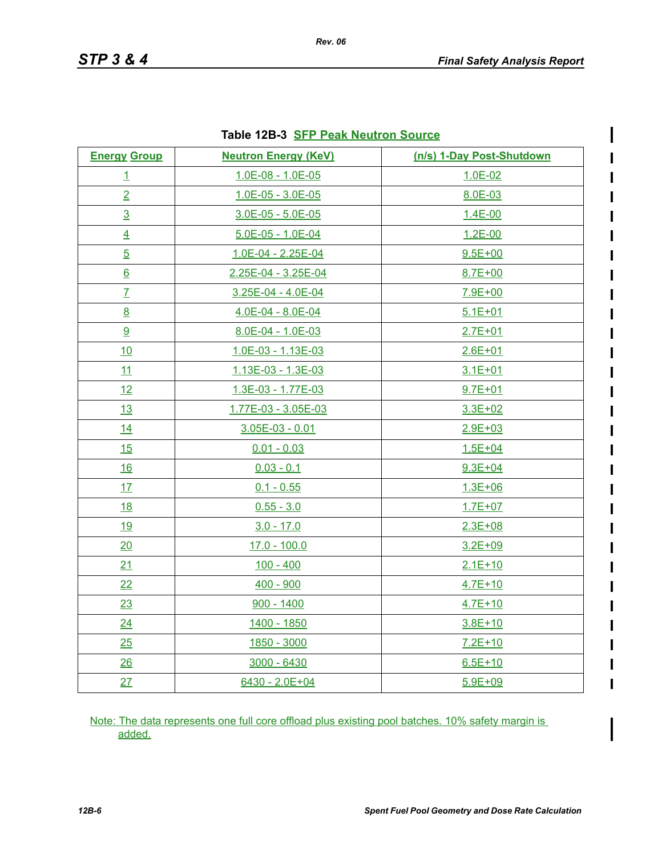ı

| <b>Iddie IZD-3</b> <u>OFF Fear Neutron Source</u> |                             |                           |  |  |
|---------------------------------------------------|-----------------------------|---------------------------|--|--|
| <b>Energy Group</b>                               | <b>Neutron Energy (KeV)</b> | (n/s) 1-Day Post-Shutdown |  |  |
| $\overline{1}$                                    | 1.0E-08 - 1.0E-05           | 1.0E-02                   |  |  |
| $\overline{2}$                                    | $1.0E-05 - 3.0E-05$         | 8.0E-03                   |  |  |
| $\overline{3}$                                    | $3.0E - 05 - 5.0E - 05$     | $1.4E - 00$               |  |  |
| $\overline{4}$                                    | 5.0E-05 - 1.0E-04           | $1.2E - 00$               |  |  |
| $\overline{5}$                                    | 1.0E-04 - 2.25E-04          | $9.5E + 00$               |  |  |
| $6 \overline{6}$                                  | 2.25E-04 - 3.25E-04         | $8.7E + 00$               |  |  |
| $\overline{I}$                                    | 3.25E-04 - 4.0E-04          | 7.9E+00                   |  |  |
| 8                                                 | 4.0E-04 - 8.0E-04           | $5.1E + 01$               |  |  |
| 9                                                 | 8.0E-04 - 1.0E-03           | $2.7E + 01$               |  |  |
| 10                                                | 1.0E-03 - 1.13E-03          | $2.6E + 01$               |  |  |
| 11                                                | 1.13E-03 - 1.3E-03          | $3.1E + 01$               |  |  |
| 12                                                | 1.3E-03 - 1.77E-03          | $9.7E + 01$               |  |  |
| 13                                                | 1.77E-03 - 3.05E-03         | $3.3E + 02$               |  |  |
| 14                                                | $3.05E-03 - 0.01$           | $2.9E + 03$               |  |  |
| 15                                                | $0.01 - 0.03$               | $1.5E + 04$               |  |  |
| <u>16</u>                                         | $0.03 - 0.1$                | $9.3E + 04$               |  |  |
| 17                                                | $0.1 - 0.55$                | $1.3E + 06$               |  |  |
| <u>18</u>                                         | $0.55 - 3.0$                | $1.7E + 07$               |  |  |
| <u>19</u>                                         | $3.0 - 17.0$                | $2.3E + 08$               |  |  |
| 20                                                | $17.0 - 100.0$              | $3.2E + 09$               |  |  |
| 21                                                | $100 - 400$                 | $2.1E+10$                 |  |  |
| 22                                                | $400 - 900$                 | $4.7E + 10$               |  |  |
| 23                                                | $900 - 1400$                | $4.7E + 10$               |  |  |
| 24                                                | 1400 - 1850                 | $3.8E + 10$               |  |  |
| 25                                                | 1850 - 3000                 | $7.2E+10$                 |  |  |
| 26                                                | $3000 - 6430$               | $6.5E + 10$               |  |  |
| 27                                                | 6430 - 2.0E+04              | $5.9E + 09$               |  |  |

#### **Table 12B-3 SFP Peak Neutron Source**

Note: The data represents one full core offload plus existing pool batches. 10% safety margin is added.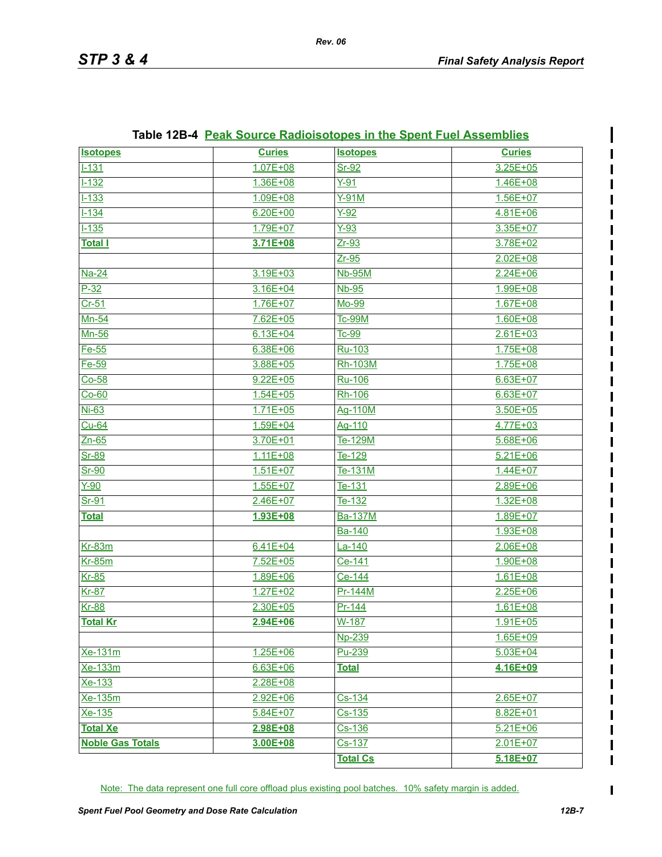| <b>Isotopes</b>         | <b>Curies</b> | <b>Isotopes</b>         | <b>Curies</b> |
|-------------------------|---------------|-------------------------|---------------|
| $1 - 131$               | $1.07E + 08$  | $Sr-92$                 | $3.25E + 05$  |
| $1 - 132$               | 1.36E+08      | $Y-91$                  | 1.46E+08      |
| $1 - 133$               | $1.09E + 08$  | $Y-91M$                 | $1.56E + 07$  |
| $1 - 134$               | $6.20E + 00$  | $Y-92$                  | 4.81E+06      |
| $1 - 135$               | 1.79E+07      | $Y-93$                  | 3.35E+07      |
| <u>Total I</u>          | 3.71E+08      | $Zr-93$                 | 3.78E+02      |
|                         |               | $Zr-95$                 | $2.02E + 08$  |
| Na-24                   | 3.19E+03      | <b>Nb-95M</b>           | $2.24E + 06$  |
| $P-32$                  | $3.16E + 04$  | $Nb-95$                 | 1.99E+08      |
| $Cr-51$                 | 1.76E+07      | Mo-99                   | $1.67E + 08$  |
| Mn-54                   | 7.62E+05      | <b>Tc-99M</b>           | $1.60E + 08$  |
| Mn-56                   | $6.13E + 04$  | Tc-99                   | $2.61E + 03$  |
| Fe-55                   | $6.38E + 06$  | Ru-103                  | 1.75E+08      |
| Fe-59                   | 3.88E+05      | Rh-103M                 | 1.75E+08      |
| $Co-58$                 | $9.22E + 05$  | <b>Ru-106</b>           | $6.63E + 07$  |
| $Co-60$                 | $1.54E + 05$  | Rh-106                  | $6.63E + 07$  |
| $Ni-63$                 | $1.71E + 05$  | Ag-110M                 | $3.50E + 05$  |
| $Cu-64$                 | $1.59E + 04$  | Ag-110                  | 4.77E+03      |
| $Zn-65$                 | 3.70E+01      | Te-129M                 | $5.68E + 06$  |
| Sr-89                   | 1.11E+08      | Te-129                  | $5.21E + 06$  |
| $Sr-90$                 | $1.51E+07$    | Te-131M                 | $1.44E + 07$  |
| $Y-90$                  | $1.55E+07$    | Te-131                  | 2.89E+06      |
| Sr-91                   | 2.46E+07      | Te-132                  | 1.32E+08      |
| <b>Total</b>            | 1.93E+08      | <b>Ba-137M</b>          | 1.89E+07      |
|                         |               | Ba-140                  | 1.93E+08      |
| <b>Kr-83m</b>           | $6.41E + 04$  | $La-140$                | $2.06E + 08$  |
| $Kr-85m$                | $7.52E + 05$  | Ce-141                  | 1.90E+08      |
| $Kr-85$                 | 1.89E+06      | Ce-144                  | $1.61E + 08$  |
| <b>Kr-87</b>            | $1.27E + 02$  | Pr-144M                 | $2.25E + 06$  |
| <b>Kr-88</b>            | $2.30E + 05$  | Pr-144                  | $1.61E + 08$  |
| <b>Total Kr</b>         | 2.94E+06      | W-187                   | 1.91E+05      |
|                         |               | Np-239                  | $1.65E + 09$  |
| <u>Xe-131m</u>          | $1.25E + 06$  | Pu-239                  | $5.03E + 04$  |
| Xe-133m                 | $6.63E + 06$  | <b>Total</b>            | 4.16E+09      |
| Xe-133                  | $2.28E + 08$  |                         |               |
| $Xe-135m$               | $2.92E + 06$  | Cs-134                  | $2.65E + 07$  |
| Xe-135                  | $5.84E + 07$  | $Cs - 135$              | 8.82E+01      |
| <b>Total Xe</b>         | 2.98E+08      |                         | $5.21E + 06$  |
| <b>Noble Gas Totals</b> | 3.00E+08      | <u>Cs-136</u><br>Cs-137 | $2.01E + 07$  |
|                         |               | <b>Total Cs</b>         | 5.18E+07      |

#### **Table 12B-4 Peak Source Radioisotopes in the Spent Fuel Assemblies**

Note: The data represent one full core offload plus existing pool batches. 10% safety margin is added.

 $\blacksquare$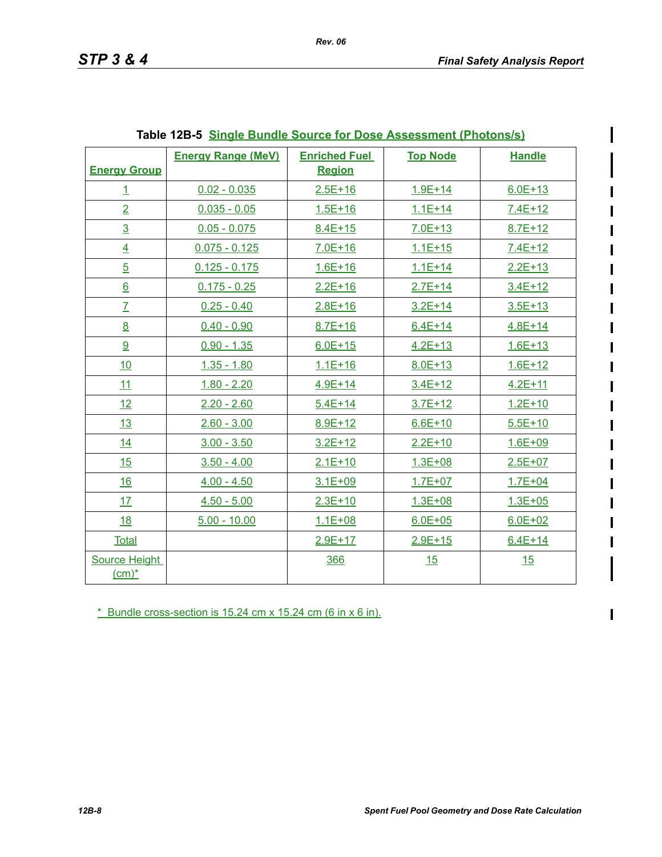I

 $\blacksquare$ 

|                      | <b>Energy Range (MeV)</b> | <b>Enriched Fuel</b> | <b>Top Node</b> | <b>Handle</b> |
|----------------------|---------------------------|----------------------|-----------------|---------------|
| <b>Energy Group</b>  |                           | <b>Region</b>        |                 |               |
| $\overline{1}$       | $0.02 - 0.035$            | $2.5E + 16$          | $1.9E + 14$     | $6.0E + 13$   |
| $\overline{2}$       | $0.035 - 0.05$            | $1.5E + 16$          | $1.1E + 14$     | $7.4E+12$     |
| $\overline{3}$       | $0.05 - 0.075$            | $8.4E + 15$          | $7.0E + 13$     | $8.7E + 12$   |
| $\overline{4}$       | $0.075 - 0.125$           | $7.0E + 16$          | $1.1E + 15$     | $7.4E+12$     |
| $\overline{5}$       | $0.125 - 0.175$           | $1.6E + 16$          | $1.1E + 14$     | $2.2E + 13$   |
| $6 \overline{6}$     | $0.175 - 0.25$            | $2.2E + 16$          | $2.7E+14$       | $3.4E+12$     |
| $\overline{L}$       | $0.25 - 0.40$             | $2.8E + 16$          | $3.2E + 14$     | $3.5E + 13$   |
| 8                    | $0.40 - 0.90$             | $8.7E + 16$          | $6.4E + 14$     | $4.8E + 14$   |
| 9                    | $0.90 - 1.35$             | $6.0E + 15$          | $4.2E + 13$     | $1.6E + 13$   |
| 10                   | $1.35 - 1.80$             | $1.1E + 16$          | $8.0E + 13$     | $1.6E + 12$   |
| 11                   | $1.80 - 2.20$             | $4.9E + 14$          | $3.4E + 12$     | $4.2E + 11$   |
| 12                   | $2.20 - 2.60$             | $5.4E + 14$          | $3.7E + 12$     | $1.2E + 10$   |
| 13                   | $2.60 - 3.00$             | $8.9E + 12$          | $6.6E + 10$     | $5.5E+10$     |
| 14                   | $3.00 - 3.50$             | $3.2E + 12$          | $2.2E + 10$     | $1.6E + 09$   |
| 15                   | $3.50 - 4.00$             | $2.1E+10$            | $1.3E + 08$     | $2.5E + 07$   |
| 16                   | $4.00 - 4.50$             | $3.1E + 09$          | $1.7E + 07$     | $1.7E + 04$   |
| 17                   | $4.50 - 5.00$             | $2.3E+10$            | $1.3E + 08$     | $1.3E + 05$   |
| <u>18</u>            | $5.00 - 10.00$            | $1.1E + 08$          | $6.0E + 05$     | $6.0E + 02$   |
| <b>Total</b>         |                           | $2.9E+17$            | $2.9E + 15$     | $6.4E + 14$   |
| <b>Source Height</b> |                           | 366                  | 15              | 15            |
| $(cm)^*$             |                           |                      |                 |               |

\* Bundle cross-section is 15.24 cm x 15.24 cm (6 in x 6 in).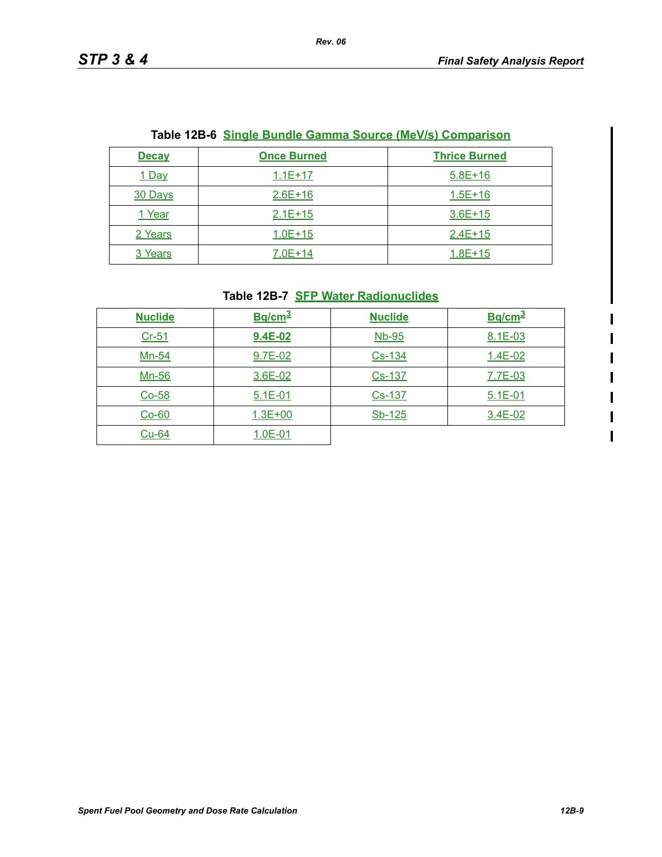| <u>Table 12B-6_Single Bundle Gamma Source (MeV/s) Comparison</u> |                    |                      |  |
|------------------------------------------------------------------|--------------------|----------------------|--|
| <b>Decay</b>                                                     | <b>Once Burned</b> | <b>Thrice Burned</b> |  |
| 1 Day                                                            | $1.1E+17$          | $5.8E+16$            |  |
| 30 Days                                                          | $2.6E+16$          | $1.5E + 16$          |  |
| 1 Year                                                           | $2.1E+15$          | $3.6E+15$            |  |
| 2 Years                                                          | $1.0E + 15$        | $2.4E+15$            |  |
| 3 Years                                                          | $7.0E+14$          | $1.8E + 15$          |  |

#### **Table 12B-6 Single Bundle Gamma Source (MeV/s) Comparison**

# **Table 12B-7 SFP Water Radionuclides**

| <b>Nuclide</b> | $Bq/cm^3$   | <b>Nuclide</b> | Bq/cm <sup>3</sup> |
|----------------|-------------|----------------|--------------------|
| $Cr-51$        | 9.4E-02     | <b>Nb-95</b>   | 8.1E-03            |
| Mn-54          | 9.7E-02     | Cs-134         | $1.4E-02$          |
| Mn-56          | 3.6E-02     | Cs-137         | 7.7E-03            |
| $Co-58$        | $5.1E-01$   | Cs-137         | $5.1E - 01$        |
| $Co-60$        | $1.3E + 00$ | Sb-125         | 3.4E-02            |
| $Cu-64$        | $1.0E-01$   |                |                    |

 $\begin{array}{c} \rule{0pt}{2.5ex} \rule{0pt}{2.5ex} \rule{0pt}{2.5ex} \rule{0pt}{2.5ex} \rule{0pt}{2.5ex} \rule{0pt}{2.5ex} \rule{0pt}{2.5ex} \rule{0pt}{2.5ex} \rule{0pt}{2.5ex} \rule{0pt}{2.5ex} \rule{0pt}{2.5ex} \rule{0pt}{2.5ex} \rule{0pt}{2.5ex} \rule{0pt}{2.5ex} \rule{0pt}{2.5ex} \rule{0pt}{2.5ex} \rule{0pt}{2.5ex} \rule{0pt}{2.5ex} \rule{0pt}{2.5ex} \rule{0$  $\overline{\mathbf{I}}$ 

 $\overline{1}$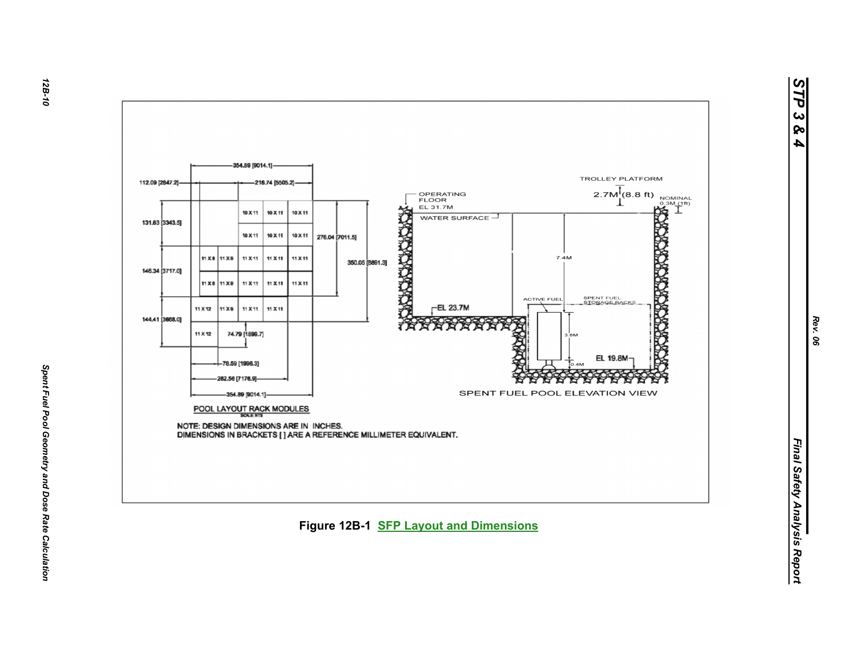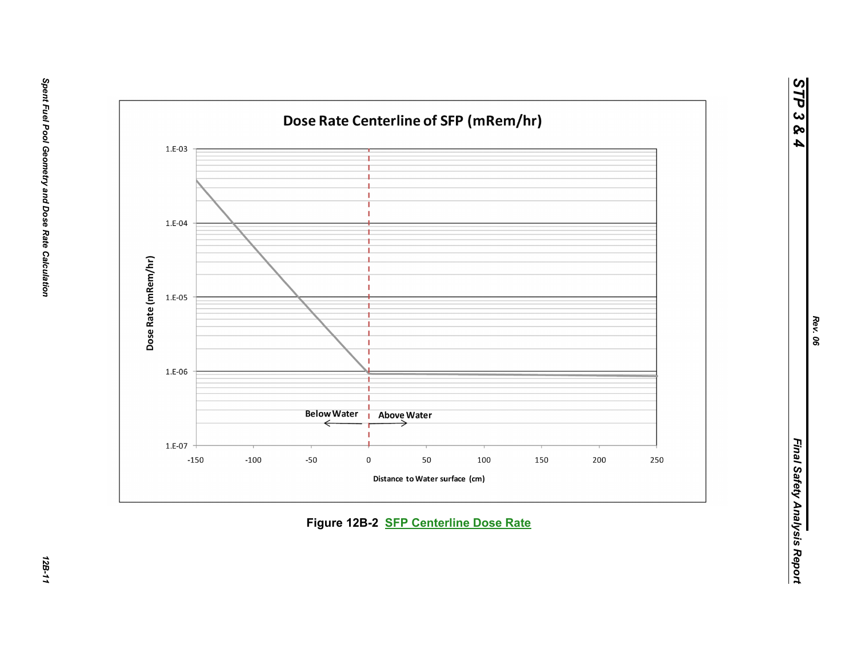